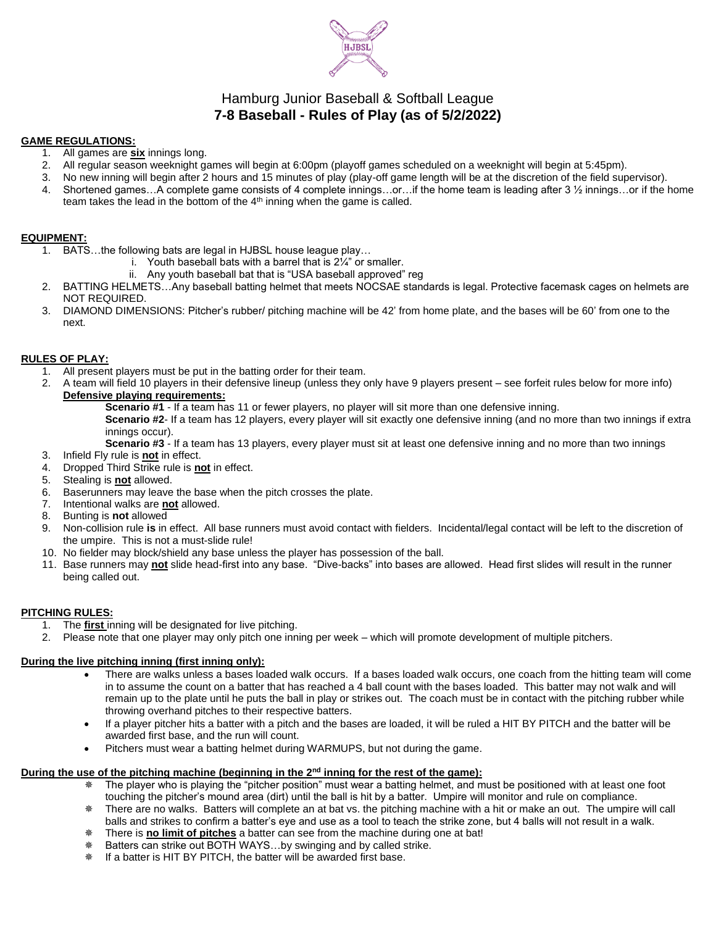

# Hamburg Junior Baseball & Softball League **7-8 Baseball - Rules of Play (as of 5/2/2022)**

#### **GAME REGULATIONS:**

- 1. All games are **six** innings long.
- 2. All regular season weeknight games will begin at 6:00pm (playoff games scheduled on a weeknight will begin at 5:45pm).
- 3. No new inning will begin after 2 hours and 15 minutes of play (play-off game length will be at the discretion of the field supervisor).
- 4. Shortened games…A complete game consists of 4 complete innings…or…if the home team is leading after 3 ½ innings…or if the home team takes the lead in the bottom of the  $4<sup>th</sup>$  inning when the game is called.

## **EQUIPMENT:**

- 1. BATS…the following bats are legal in HJBSL house league play…
	- i. Youth baseball bats with a barrel that is 2¼" or smaller.
		- ii. Any youth baseball bat that is "USA baseball approved" reg
- 2. BATTING HELMETS…Any baseball batting helmet that meets NOCSAE standards is legal. Protective facemask cages on helmets are NOT REQUIRED.
- 3. DIAMOND DIMENSIONS: Pitcher's rubber/ pitching machine will be 42' from home plate, and the bases will be 60' from one to the next.

## **RULES OF PLAY:**

- 1. All present players must be put in the batting order for their team.
- 2. A team will field 10 players in their defensive lineup (unless they only have 9 players present see forfeit rules below for more info) **Defensive playing requirements:**
	- **Scenario #1** If a team has 11 or fewer players, no player will sit more than one defensive inning.

**Scenario #2**- If a team has 12 players, every player will sit exactly one defensive inning (and no more than two innings if extra innings occur).

- **Scenario #3** If a team has 13 players, every player must sit at least one defensive inning and no more than two innings
- 3. Infield Fly rule is **not** in effect.
- 4. Dropped Third Strike rule is **not** in effect.
- 5. Stealing is **not** allowed.
- 6. Baserunners may leave the base when the pitch crosses the plate.
- 7. Intentional walks are **not** allowed.
- 8. Bunting is **not** allowed
- 9. Non-collision rule **is** in effect. All base runners must avoid contact with fielders. Incidental/legal contact will be left to the discretion of the umpire. This is not a must-slide rule!
- 10. No fielder may block/shield any base unless the player has possession of the ball.
- 11. Base runners may **not** slide head-first into any base. "Dive-backs" into bases are allowed. Head first slides will result in the runner being called out.

## **PITCHING RULES:**

- 1. The **first** inning will be designated for live pitching.
- 2. Please note that one player may only pitch one inning per week which will promote development of multiple pitchers.

## **During the live pitching inning (first inning only):**

- There are walks unless a bases loaded walk occurs. If a bases loaded walk occurs, one coach from the hitting team will come in to assume the count on a batter that has reached a 4 ball count with the bases loaded. This batter may not walk and will remain up to the plate until he puts the ball in play or strikes out. The coach must be in contact with the pitching rubber while throwing overhand pitches to their respective batters.
- If a player pitcher hits a batter with a pitch and the bases are loaded, it will be ruled a HIT BY PITCH and the batter will be awarded first base, and the run will count.
- Pitchers must wear a batting helmet during WARMUPS, but not during the game.

# **During the use of the pitching machine (beginning in the 2nd inning for the rest of the game):**

- The player who is playing the "pitcher position" must wear a batting helmet, and must be positioned with at least one foot touching the pitcher's mound area (dirt) until the ball is hit by a batter. Umpire will monitor and rule on compliance.
- There are no walks. Batters will complete an at bat vs. the pitching machine with a hit or make an out. The umpire will call balls and strikes to confirm a batter's eye and use as a tool to teach the strike zone, but 4 balls will not result in a walk.
- There is **no limit of pitches** a batter can see from the machine during one at bat!
- Batters can strike out BOTH WAYS…by swinging and by called strike.
- If a batter is HIT BY PITCH, the batter will be awarded first base.